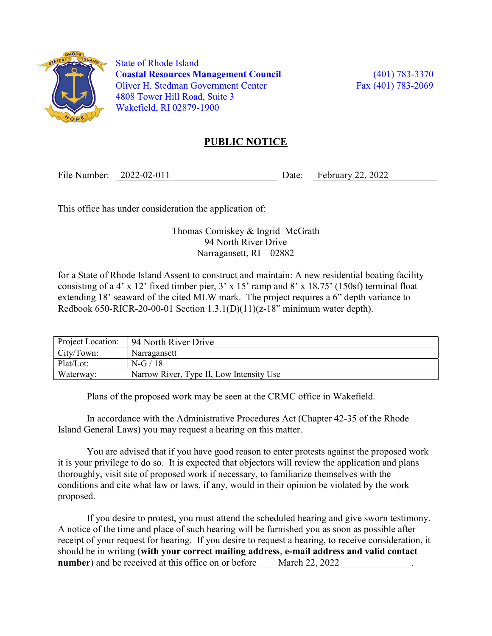

 State of Rhode Island Coastal Resources Management Council (401) 783-3370 Oliver H. Stedman Government Center Fax (401) 783-2069 4808 Tower Hill Road, Suite 3 Wakefield, RI 02879-1900

## PUBLIC NOTICE

File Number: 2022-02-011 Date: February 22, 2022

This office has under consideration the application of:

Thomas Comiskey & Ingrid McGrath 94 North River Drive Narragansett, RI 02882

for a State of Rhode Island Assent to construct and maintain: A new residential boating facility consisting of a 4' x 12' fixed timber pier, 3' x 15' ramp and 8' x 18.75' (150sf) terminal float extending 18' seaward of the cited MLW mark. The project requires a 6" depth variance to Redbook 650-RICR-20-00-01 Section  $1.3.1(D)(11)(z-18"$  minimum water depth).

| Project Location: | 94 North River Drive                     |
|-------------------|------------------------------------------|
| City/Town:        | Narragansett                             |
| Plat/Lot:         | $N-G/18$                                 |
| Waterway:         | Narrow River, Type II, Low Intensity Use |

Plans of the proposed work may be seen at the CRMC office in Wakefield.

In accordance with the Administrative Procedures Act (Chapter 42-35 of the Rhode Island General Laws) you may request a hearing on this matter.

You are advised that if you have good reason to enter protests against the proposed work it is your privilege to do so. It is expected that objectors will review the application and plans thoroughly, visit site of proposed work if necessary, to familiarize themselves with the conditions and cite what law or laws, if any, would in their opinion be violated by the work proposed.

If you desire to protest, you must attend the scheduled hearing and give sworn testimony. A notice of the time and place of such hearing will be furnished you as soon as possible after receipt of your request for hearing. If you desire to request a hearing, to receive consideration, it should be in writing (with your correct mailing address, e-mail address and valid contact number) and be received at this office on or before March 22, 2022